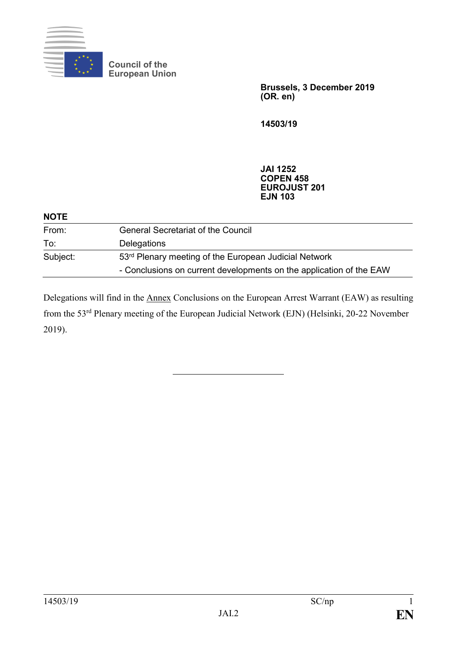

**Council of the European Union**

> **Brussels, 3 December 2019 (OR. en)**

**14503/19**

**JAI 1252 COPEN 458 EUROJUST 201 EJN 103**

| <b>NOTE</b> |                                                                     |
|-------------|---------------------------------------------------------------------|
| From:       | <b>General Secretariat of the Council</b>                           |
| To:         | <b>Delegations</b>                                                  |
| Subject:    | 53rd Plenary meeting of the European Judicial Network               |
|             | - Conclusions on current developments on the application of the EAW |

Delegations will find in the Annex Conclusions on the European Arrest Warrant (EAW) as resulting from the 53rd Plenary meeting of the European Judicial Network (EJN) (Helsinki, 20-22 November 2019).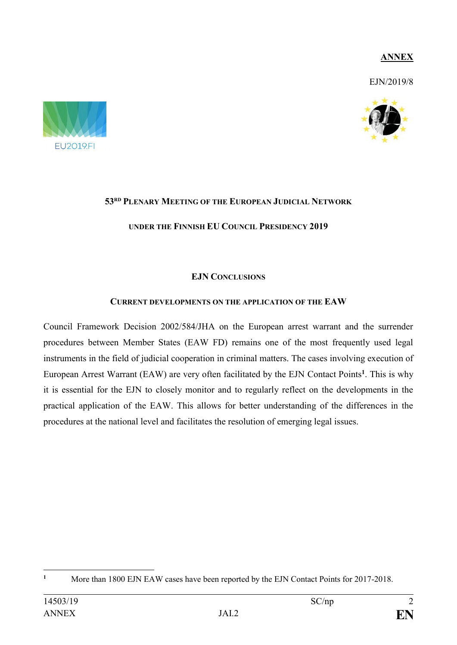# **ANNEX**

EJN/2019/8





# **53RD PLENARY MEETING OF THE EUROPEAN JUDICIAL NETWORK**

# **UNDER THE FINNISH EU COUNCIL PRESIDENCY 2019**

# **EJN CONCLUSIONS**

# **CURRENT DEVELOPMENTS ON THE APPLICATION OF THE EAW**

Council Framework Decision 2002/584/JHA on the European arrest warrant and the surrender procedures between Member States (EAW FD) remains one of the most frequently used legal instruments in the field of judicial cooperation in criminal matters. The cases involving execution of European Arrest Warrant (EAW) are very often facilitated by the EJN Contact Points**<sup>1</sup>** . This is why it is essential for the EJN to closely monitor and to regularly reflect on the developments in the practical application of the EAW. This allows for better understanding of the differences in the procedures at the national level and facilitates the resolution of emerging legal issues.

 $\mathbf{1}$ **<sup>1</sup>** More than 1800 EJN EAW cases have been reported by the EJN Contact Points for 2017-2018.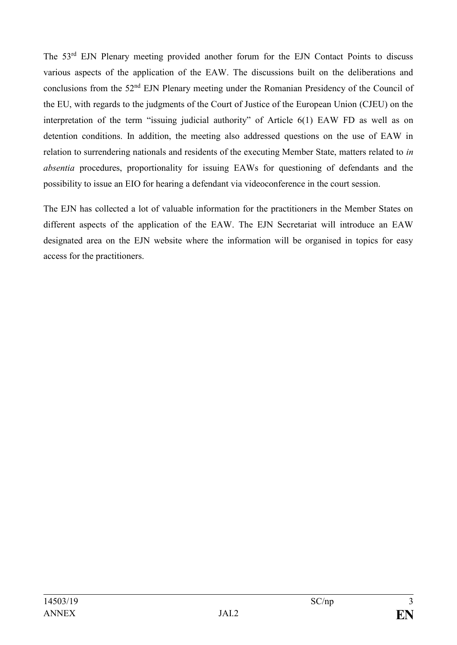The 53<sup>rd</sup> EJN Plenary meeting provided another forum for the EJN Contact Points to discuss various aspects of the application of the EAW. The discussions built on the deliberations and conclusions from the 52<sup>nd</sup> EJN Plenary meeting under the Romanian Presidency of the Council of the EU, with regards to the judgments of the Court of Justice of the European Union (CJEU) on the interpretation of the term "issuing judicial authority" of Article 6(1) EAW FD as well as on detention conditions. In addition, the meeting also addressed questions on the use of EAW in relation to surrendering nationals and residents of the executing Member State, matters related to *in absentia* procedures, proportionality for issuing EAWs for questioning of defendants and the possibility to issue an EIO for hearing a defendant via videoconference in the court session.

The EJN has collected a lot of valuable information for the practitioners in the Member States on different aspects of the application of the EAW. The EJN Secretariat will introduce an EAW designated area on the EJN website where the information will be organised in topics for easy access for the practitioners.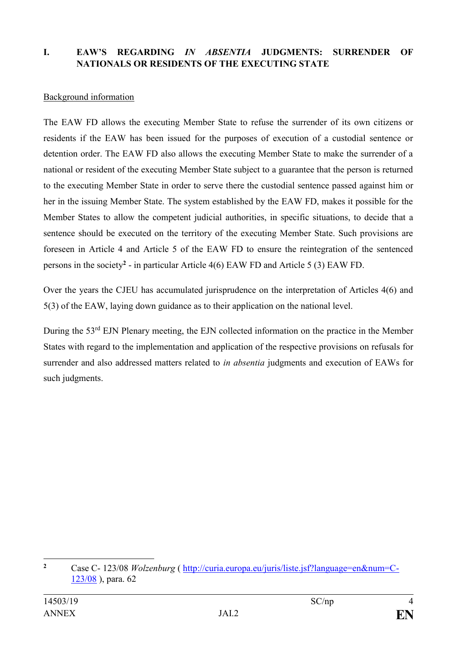# **I. EAW'S REGARDING** *IN ABSENTIA* **JUDGMENTS: SURRENDER OF NATIONALS OR RESIDENTS OF THE EXECUTING STATE**

### Background information

The EAW FD allows the executing Member State to refuse the surrender of its own citizens or residents if the EAW has been issued for the purposes of execution of a custodial sentence or detention order. The EAW FD also allows the executing Member State to make the surrender of a national or resident of the executing Member State subject to a guarantee that the person is returned to the executing Member State in order to serve there the custodial sentence passed against him or her in the issuing Member State. The system established by the EAW FD, makes it possible for the Member States to allow the competent judicial authorities, in specific situations, to decide that a sentence should be executed on the territory of the executing Member State. Such provisions are foreseen in Article 4 and Article 5 of the EAW FD to ensure the reintegration of the sentenced persons in the society**<sup>2</sup>** - in particular Article 4(6) EAW FD and Article 5 (3) EAW FD.

Over the years the CJEU has accumulated jurisprudence on the interpretation of Articles 4(6) and 5(3) of the EAW, laying down guidance as to their application on the national level.

During the 53<sup>rd</sup> EJN Plenary meeting, the EJN collected information on the practice in the Member States with regard to the implementation and application of the respective provisions on refusals for surrender and also addressed matters related to *in absentia* judgments and execution of EAWs for such judgments.

 $\overline{2}$ **<sup>2</sup>** Case C- 123/08 *Wolzenburg* ( [http://curia.europa.eu/juris/liste.jsf?language=en&num=C-](http://curia.europa.eu/juris/liste.jsf?language=en&num=C-123/08)[123/08](http://curia.europa.eu/juris/liste.jsf?language=en&num=C-123/08) ), para. 62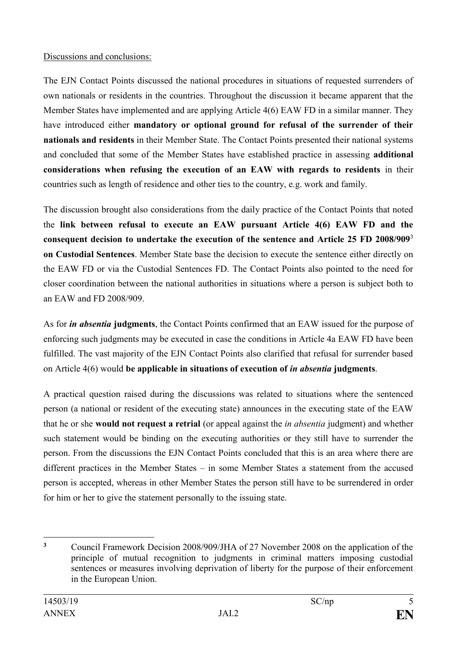# Discussions and conclusions:

The EJN Contact Points discussed the national procedures in situations of requested surrenders of own nationals or residents in the countries. Throughout the discussion it became apparent that the Member States have implemented and are applying Article 4(6) EAW FD in a similar manner. They have introduced either **mandatory or optional ground for refusal of the surrender of their nationals and residents** in their Member State. The Contact Points presented their national systems and concluded that some of the Member States have established practice in assessing **additional considerations when refusing the execution of an EAW with regards to residents** in their countries such as length of residence and other ties to the country, e.g. work and family.

The discussion brought also considerations from the daily practice of the Contact Points that noted the **link between refusal to execute an EAW pursuant Article 4(6) EAW FD and the consequent decision to undertake the execution of the sentence and Article 25 FD 2008/909**<sup>3</sup> **on Custodial Sentences**. Member State base the decision to execute the sentence either directly on the EAW FD or via the Custodial Sentences FD. The Contact Points also pointed to the need for closer coordination between the national authorities in situations where a person is subject both to an EAW and FD 2008/909.

As for *in absentia* **judgments**, the Contact Points confirmed that an EAW issued for the purpose of enforcing such judgments may be executed in case the conditions in Article 4a EAW FD have been fulfilled. The vast majority of the EJN Contact Points also clarified that refusal for surrender based on Article 4(6) would **be applicable in situations of execution of** *in absentia* **judgments**.

A practical question raised during the discussions was related to situations where the sentenced person (a national or resident of the executing state) announces in the executing state of the EAW that he or she **would not request a retrial** (or appeal against the *in absentia* judgment) and whether such statement would be binding on the executing authorities or they still have to surrender the person. From the discussions the EJN Contact Points concluded that this is an area where there are different practices in the Member States – in some Member States a statement from the accused person is accepted, whereas in other Member States the person still have to be surrendered in order for him or her to give the statement personally to the issuing state.

<sup>1</sup> **<sup>3</sup>** Council Framework Decision 2008/909/JHA of 27 November 2008 on the application of the principle of mutual recognition to judgments in criminal matters imposing custodial sentences or measures involving deprivation of liberty for the purpose of their enforcement in the European Union.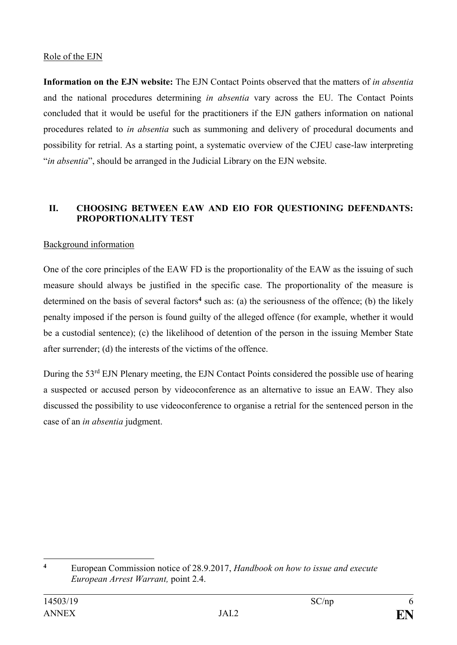# Role of the EJN

**Information on the EJN website:** The EJN Contact Points observed that the matters of *in absentia* and the national procedures determining *in absentia* vary across the EU. The Contact Points concluded that it would be useful for the practitioners if the EJN gathers information on national procedures related to *in absentia* such as summoning and delivery of procedural documents and possibility for retrial. As a starting point, a systematic overview of the CJEU case-law interpreting "*in absentia*", should be arranged in the Judicial Library on the EJN website.

# **II. CHOOSING BETWEEN EAW AND EIO FOR QUESTIONING DEFENDANTS: PROPORTIONALITY TEST**

# Background information

One of the core principles of the EAW FD is the proportionality of the EAW as the issuing of such measure should always be justified in the specific case. The proportionality of the measure is determined on the basis of several factors**<sup>4</sup>** such as: (a) the seriousness of the offence; (b) the likely penalty imposed if the person is found guilty of the alleged offence (for example, whether it would be a custodial sentence); (c) the likelihood of detention of the person in the issuing Member State after surrender; (d) the interests of the victims of the offence.

During the 53<sup>rd</sup> EJN Plenary meeting, the EJN Contact Points considered the possible use of hearing a suspected or accused person by videoconference as an alternative to issue an EAW. They also discussed the possibility to use videoconference to organise a retrial for the sentenced person in the case of an *in absentia* judgment.

 $\overline{4}$ **<sup>4</sup>** European Commission notice of 28.9.2017, *Handbook on how to issue and execute European Arrest Warrant,* point 2.4.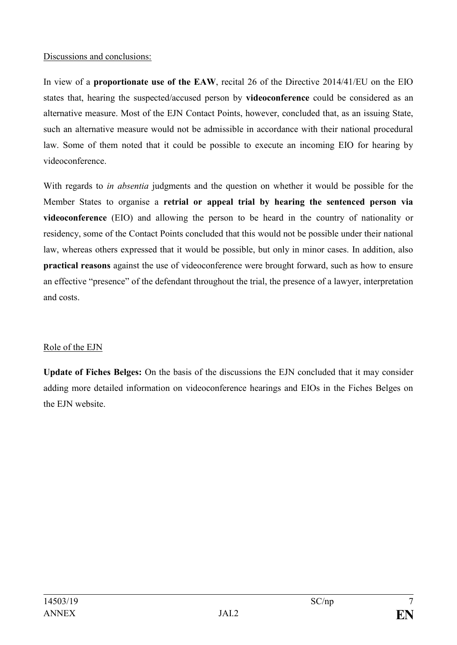## Discussions and conclusions:

In view of a **proportionate use of the EAW**, recital 26 of the Directive 2014/41/EU on the EIO states that, hearing the suspected/accused person by **videoconference** could be considered as an alternative measure. Most of the EJN Contact Points, however, concluded that, as an issuing State, such an alternative measure would not be admissible in accordance with their national procedural law. Some of them noted that it could be possible to execute an incoming EIO for hearing by videoconference.

With regards to *in absentia* judgments and the question on whether it would be possible for the Member States to organise a **retrial or appeal trial by hearing the sentenced person via videoconference** (EIO) and allowing the person to be heard in the country of nationality or residency, some of the Contact Points concluded that this would not be possible under their national law, whereas others expressed that it would be possible, but only in minor cases. In addition, also **practical reasons** against the use of videoconference were brought forward, such as how to ensure an effective "presence" of the defendant throughout the trial, the presence of a lawyer, interpretation and costs.

# Role of the EJN

**Update of Fiches Belges:** On the basis of the discussions the EJN concluded that it may consider adding more detailed information on videoconference hearings and EIOs in the Fiches Belges on the EJN website.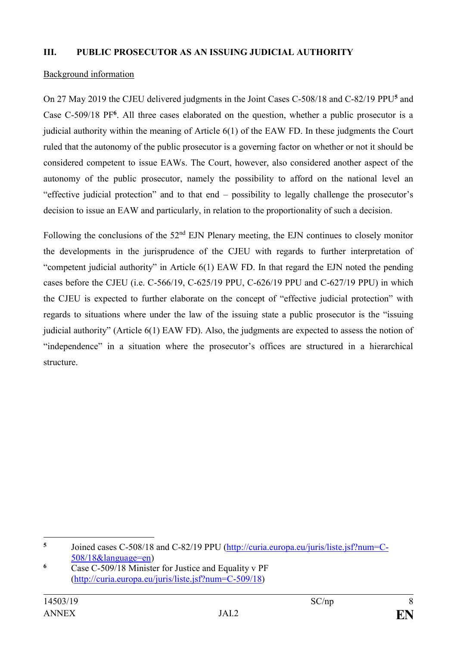## **III. PUBLIC PROSECUTOR AS AN ISSUING JUDICIAL AUTHORITY**

#### Background information

On 27 May 2019 the CJEU delivered judgments in the Joint Cases C-508/18 and C-82/19 PPU**<sup>5</sup>** and Case C-509/18 PF**<sup>6</sup>** . All three cases elaborated on the question, whether a public prosecutor is a judicial authority within the meaning of Article 6(1) of the EAW FD. In these judgments the Court ruled that the autonomy of the public prosecutor is a governing factor on whether or not it should be considered competent to issue EAWs. The Court, however, also considered another aspect of the autonomy of the public prosecutor, namely the possibility to afford on the national level an "effective judicial protection" and to that end – possibility to legally challenge the prosecutor's decision to issue an EAW and particularly, in relation to the proportionality of such a decision.

Following the conclusions of the  $52<sup>nd</sup>$  EJN Plenary meeting, the EJN continues to closely monitor the developments in the jurisprudence of the CJEU with regards to further interpretation of "competent judicial authority" in Article 6(1) EAW FD. In that regard the EJN noted the pending cases before the CJEU (i.e. C-566/19, C-625/19 PPU, C-626/19 PPU and C-627/19 PPU) in which the CJEU is expected to further elaborate on the concept of "effective judicial protection" with regards to situations where under the law of the issuing state a public prosecutor is the "issuing judicial authority" (Article 6(1) EAW FD). Also, the judgments are expected to assess the notion of "independence" in a situation where the prosecutor's offices are structured in a hierarchical structure.

1

**<sup>5</sup>** Joined cases C-508/18 and C-82/19 PPU [\(http://curia.europa.eu/juris/liste.jsf?num=C-](http://curia.europa.eu/juris/liste.jsf?num=C-508/18&language=en)[508/18&language=en\)](http://curia.europa.eu/juris/liste.jsf?num=C-508/18&language=en)

**<sup>6</sup>** Case C-509/18 Minister for Justice and Equality v PF [\(http://curia.europa.eu/juris/liste.jsf?num=C-509/18\)](http://curia.europa.eu/juris/liste.jsf?num=C-509/18)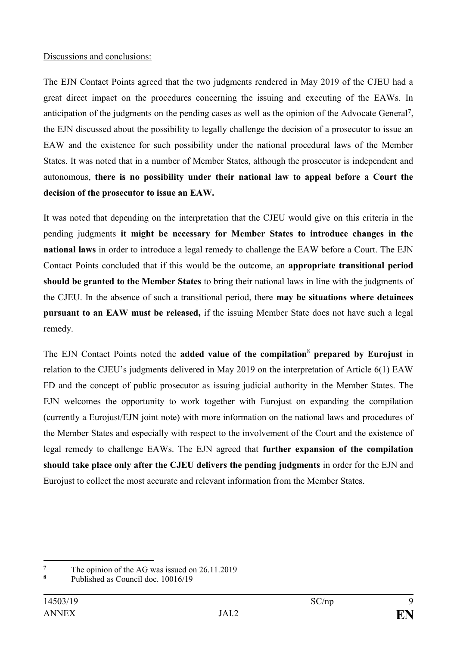## Discussions and conclusions:

The EJN Contact Points agreed that the two judgments rendered in May 2019 of the CJEU had a great direct impact on the procedures concerning the issuing and executing of the EAWs. In anticipation of the judgments on the pending cases as well as the opinion of the Advocate General**<sup>7</sup>** , the EJN discussed about the possibility to legally challenge the decision of a prosecutor to issue an EAW and the existence for such possibility under the national procedural laws of the Member States. It was noted that in a number of Member States, although the prosecutor is independent and autonomous, **there is no possibility under their national law to appeal before a Court the decision of the prosecutor to issue an EAW.** 

It was noted that depending on the interpretation that the CJEU would give on this criteria in the pending judgments **it might be necessary for Member States to introduce changes in the national laws** in order to introduce a legal remedy to challenge the EAW before a Court. The EJN Contact Points concluded that if this would be the outcome, an **appropriate transitional period should be granted to the Member States** to bring their national laws in line with the judgments of the CJEU. In the absence of such a transitional period, there **may be situations where detainees pursuant to an EAW must be released,** if the issuing Member State does not have such a legal remedy.

The EJN Contact Points noted the **added value of the compilation**<sup>8</sup> **prepared by Eurojust** in relation to the CJEU's judgments delivered in May 2019 on the interpretation of Article 6(1) EAW FD and the concept of public prosecutor as issuing judicial authority in the Member States. The EJN welcomes the opportunity to work together with Eurojust on expanding the compilation (currently a Eurojust/EJN joint note) with more information on the national laws and procedures of the Member States and especially with respect to the involvement of the Court and the existence of legal remedy to challenge EAWs. The EJN agreed that **further expansion of the compilation should take place only after the CJEU delivers the pending judgments** in order for the EJN and Eurojust to collect the most accurate and relevant information from the Member States.

<u>.</u>

<sup>&</sup>lt;sup>7</sup> The opinion of the AG was issued on  $26.11.2019$ 

**<sup>8</sup>** Published as Council doc. 10016/19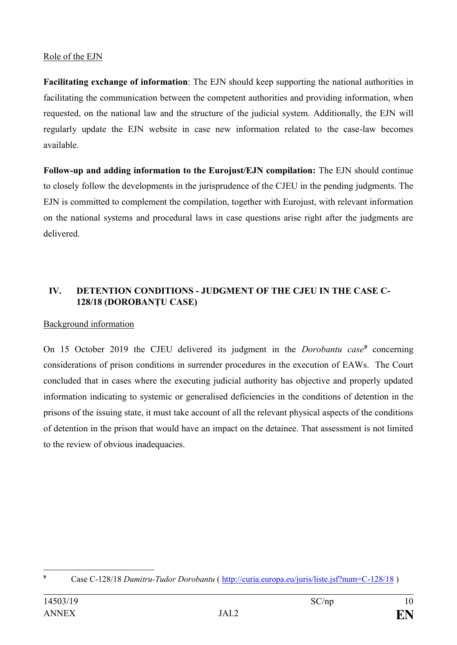# Role of the EJN

**Facilitating exchange of information**: The EJN should keep supporting the national authorities in facilitating the communication between the competent authorities and providing information, when requested, on the national law and the structure of the judicial system. Additionally, the EJN will regularly update the EJN website in case new information related to the case-law becomes available.

**Follow-up and adding information to the Eurojust/EJN compilation:** The EJN should continue to closely follow the developments in the jurisprudence of the CJEU in the pending judgments. The EJN is committed to complement the compilation, together with Eurojust, with relevant information on the national systems and procedural laws in case questions arise right after the judgments are delivered.

# **IV. DETENTION CONDITIONS - JUDGMENT OF THE CJEU IN THE CASE C-128/18 (DOROBANȚU CASE)**

# Background information

On 15 October 2019 the CJEU delivered its judgment in the *Dorobantu case<sup>9</sup>* concerning considerations of prison conditions in surrender procedures in the execution of EAWs. The Court concluded that in cases where the executing judicial authority has objective and properly updated information indicating to systemic or generalised deficiencies in the conditions of detention in the prisons of the issuing state, it must take account of all the relevant physical aspects of the conditions of detention in the prison that would have an impact on the detainee. That assessment is not limited to the review of obvious inadequacies.

 $\overline{9}$ **<sup>9</sup>** Case C-128/18 *Dumitru-Tudor Dorobantu* (<http://curia.europa.eu/juris/liste.jsf?num=C-128/18> )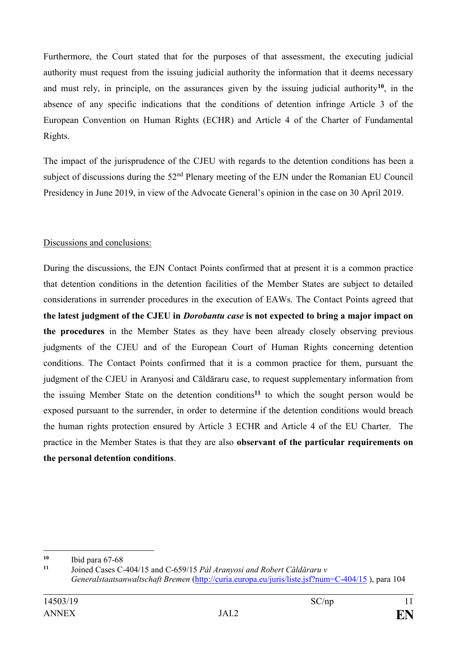Furthermore, the Court stated that for the purposes of that assessment, the executing judicial authority must request from the issuing judicial authority the information that it deems necessary and must rely, in principle, on the assurances given by the issuing judicial authority**<sup>10</sup>**, in the absence of any specific indications that the conditions of detention infringe Article 3 of the European Convention on Human Rights (ECHR) and Article 4 of the Charter of Fundamental Rights.

The impact of the jurisprudence of the CJEU with regards to the detention conditions has been a subject of discussions during the 52<sup>nd</sup> Plenary meeting of the EJN under the Romanian EU Council Presidency in June 2019, in view of the Advocate General's opinion in the case on 30 April 2019.

# Discussions and conclusions:

During the discussions, the EJN Contact Points confirmed that at present it is a common practice that detention conditions in the detention facilities of the Member States are subject to detailed considerations in surrender procedures in the execution of EAWs. The Contact Points agreed that **the latest judgment of the CJEU in** *Dorobantu case* **is not expected to bring a major impact on the procedures** in the Member States as they have been already closely observing previous judgments of the CJEU and of the European Court of Human Rights concerning detention conditions. The Contact Points confirmed that it is a common practice for them, pursuant the judgment of the CJEU in Aranyosi and Căldăraru case, to request supplementary information from the issuing Member State on the detention conditions**<sup>11</sup>** to which the sought person would be exposed pursuant to the surrender, in order to determine if the detention conditions would breach the human rights protection ensured by Article 3 ECHR and Article 4 of the EU Charter. The practice in the Member States is that they are also **observant of the particular requirements on the personal detention conditions**.

1

**<sup>10</sup>** Ibid para 67-68

**<sup>11</sup>** Joined Cases C-404/15 and C-659/15 *Pál Aranyosi and Robert Căldăraru v Generalstaatsanwaltschaft Bremen* [\(http://curia.europa.eu/juris/liste.jsf?num=C-404/15](http://curia.europa.eu/juris/liste.jsf?num=C-404/15) ), para 104